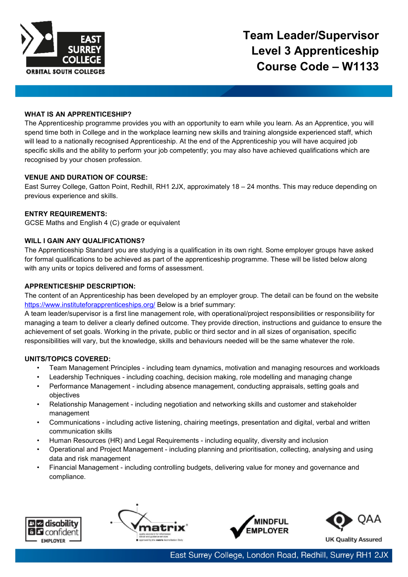

#### **WHAT IS AN APPRENTICESHIP?**

The Apprenticeship programme provides you with an opportunity to earn while you learn. As an Apprentice, you will spend time both in College and in the workplace learning new skills and training alongside experienced staff, which will lead to a nationally recognised Apprenticeship. At the end of the Apprenticeship you will have acquired job specific skills and the ability to perform your job competently; you may also have achieved qualifications which are recognised by your chosen profession.

## **VENUE AND DURATION OF COURSE:**

East Surrey College, Gatton Point, Redhill, RH1 2JX, approximately 18 – 24 months. This may reduce depending on previous experience and skills.

## **ENTRY REQUIREMENTS:**

GCSE Maths and English 4 (C) grade or equivalent

#### **WILL I GAIN ANY QUALIFICATIONS?**

The Apprenticeship Standard you are studying is a qualification in its own right. Some employer groups have asked for formal qualifications to be achieved as part of the apprenticeship programme. These will be listed below along with any units or topics delivered and forms of assessment.

## **APPRENTICESHIP DESCRIPTION:**

The content of an Apprenticeship has been developed by an employer group. The detail can be found on the website <https://www.instituteforapprenticeships.org/> Below is a brief summary:

A team leader/supervisor is a first line management role, with operational/project responsibilities or responsibility for managing a team to deliver a clearly defined outcome. They provide direction, instructions and guidance to ensure the achievement of set goals. Working in the private, public or third sector and in all sizes of organisation, specific responsibilities will vary, but the knowledge, skills and behaviours needed will be the same whatever the role.

#### **UNITS/TOPICS COVERED:**

- Team Management Principles including team dynamics, motivation and managing resources and workloads
- Leadership Techniques including coaching, decision making, role modelling and managing change
- Performance Management including absence management, conducting appraisals, setting goals and objectives
- Relationship Management including negotiation and networking skills and customer and stakeholder management
- Communications including active listening, chairing meetings, presentation and digital, verbal and written communication skills
- Human Resources (HR) and Legal Requirements including equality, diversity and inclusion
- Operational and Project Management including planning and prioritisation, collecting, analysing and using data and risk management
- Financial Management including controlling budgets, delivering value for money and governance and compliance.